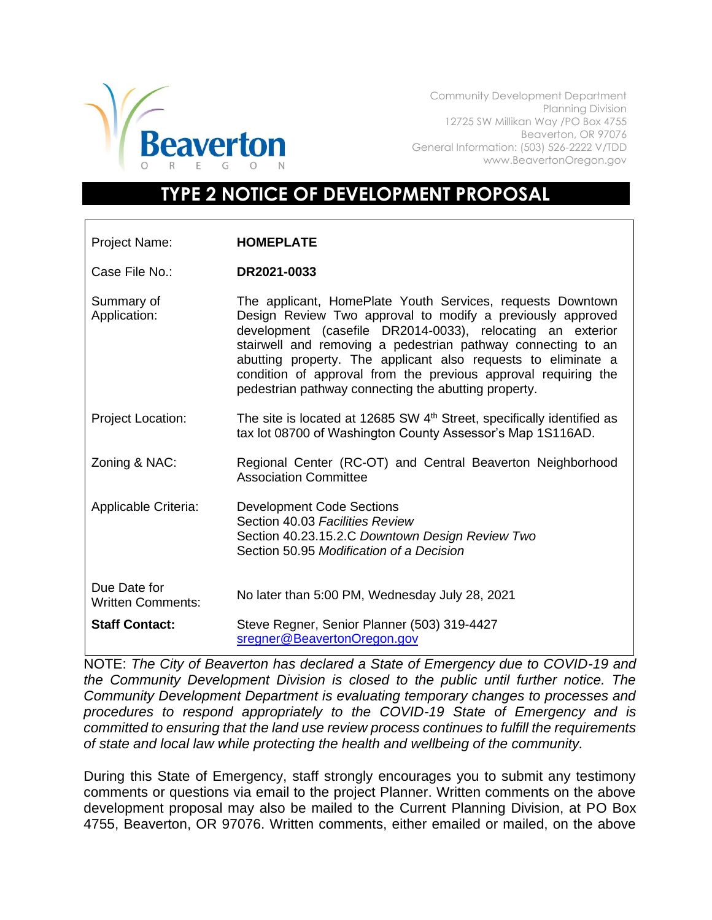

Community Development Department Planning Division 12725 SW Millikan Way /PO Box 4755 Beaverton, OR 97076 General Information: (503) 526-2222 V/TDD www.BeavertonOregon.gov

## **TYPE 2 NOTICE OF DEVELOPMENT PROPOSAL**

| Project Name:                            | <b>HOMEPLATE</b>                                                                                                                                                                                                                                                                                                                                                                                                                                  |
|------------------------------------------|---------------------------------------------------------------------------------------------------------------------------------------------------------------------------------------------------------------------------------------------------------------------------------------------------------------------------------------------------------------------------------------------------------------------------------------------------|
| Case File No.:                           | DR2021-0033                                                                                                                                                                                                                                                                                                                                                                                                                                       |
| Summary of<br>Application:               | The applicant, HomePlate Youth Services, requests Downtown<br>Design Review Two approval to modify a previously approved<br>development (casefile DR2014-0033), relocating an exterior<br>stairwell and removing a pedestrian pathway connecting to an<br>abutting property. The applicant also requests to eliminate a<br>condition of approval from the previous approval requiring the<br>pedestrian pathway connecting the abutting property. |
| <b>Project Location:</b>                 | The site is located at 12685 SW 4 <sup>th</sup> Street, specifically identified as<br>tax lot 08700 of Washington County Assessor's Map 1S116AD.                                                                                                                                                                                                                                                                                                  |
| Zoning & NAC:                            | Regional Center (RC-OT) and Central Beaverton Neighborhood<br><b>Association Committee</b>                                                                                                                                                                                                                                                                                                                                                        |
| Applicable Criteria:                     | <b>Development Code Sections</b><br>Section 40.03 Facilities Review<br>Section 40.23.15.2.C Downtown Design Review Two<br>Section 50.95 Modification of a Decision                                                                                                                                                                                                                                                                                |
| Due Date for<br><b>Written Comments:</b> | No later than 5:00 PM, Wednesday July 28, 2021                                                                                                                                                                                                                                                                                                                                                                                                    |
| <b>Staff Contact:</b>                    | Steve Regner, Senior Planner (503) 319-4427<br>sregner@BeavertonOregon.gov                                                                                                                                                                                                                                                                                                                                                                        |

NOTE: *The City of Beaverton has declared a State of Emergency due to COVID-19 and the Community Development Division is closed to the public until further notice. The Community Development Department is evaluating temporary changes to processes and procedures to respond appropriately to the COVID-19 State of Emergency and is committed to ensuring that the land use review process continues to fulfill the requirements of state and local law while protecting the health and wellbeing of the community.*

During this State of Emergency, staff strongly encourages you to submit any testimony comments or questions via email to the project Planner. Written comments on the above development proposal may also be mailed to the Current Planning Division, at PO Box 4755, Beaverton, OR 97076. Written comments, either emailed or mailed, on the above